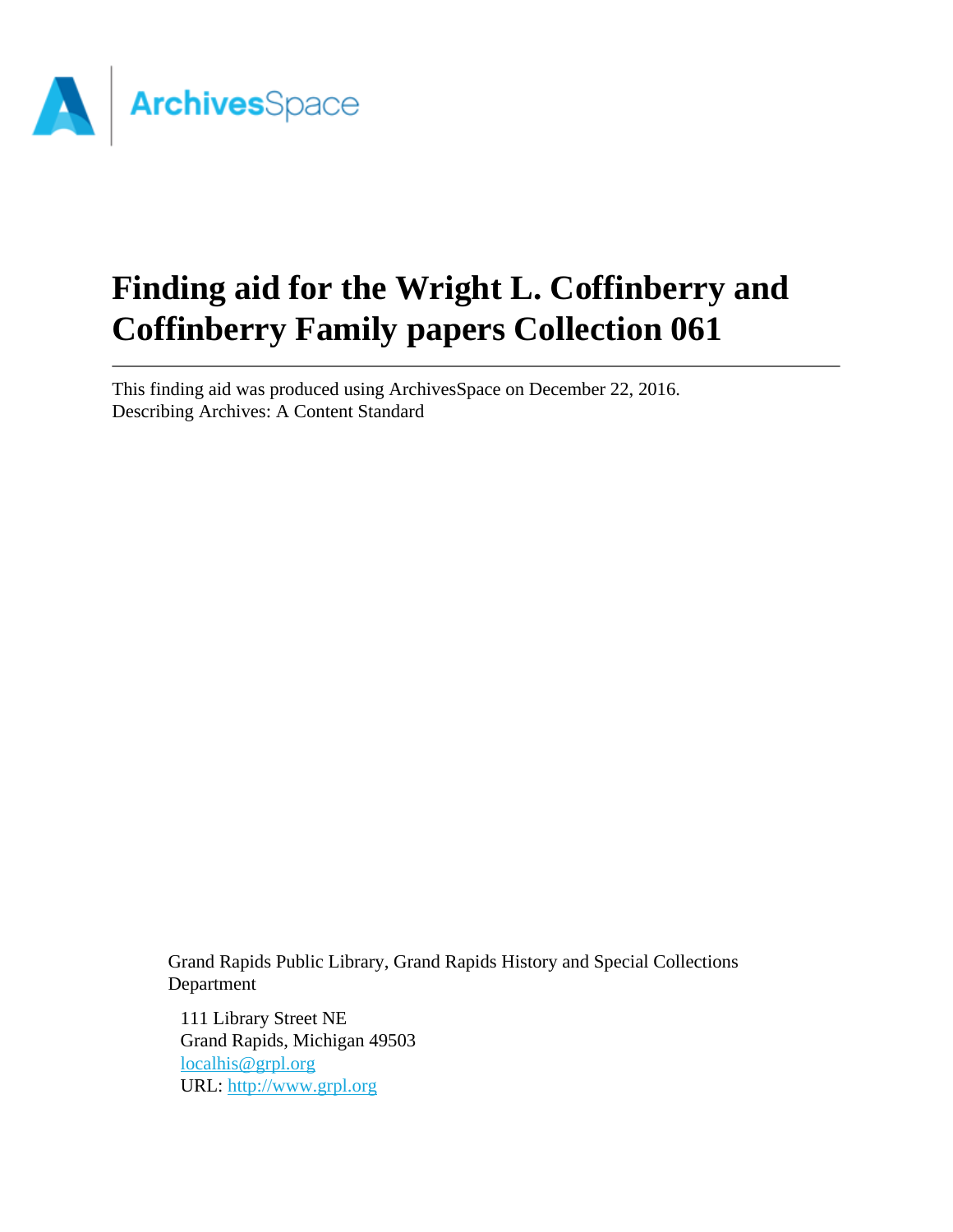

# **Finding aid for the Wright L. Coffinberry and Coffinberry Family papers Collection 061**

This finding aid was produced using ArchivesSpace on December 22, 2016. Describing Archives: A Content Standard

Grand Rapids Public Library, Grand Rapids History and Special Collections Department

111 Library Street NE Grand Rapids, Michigan 49503 [localhis@grpl.org](mailto:localhis@grpl.org) URL:<http://www.grpl.org>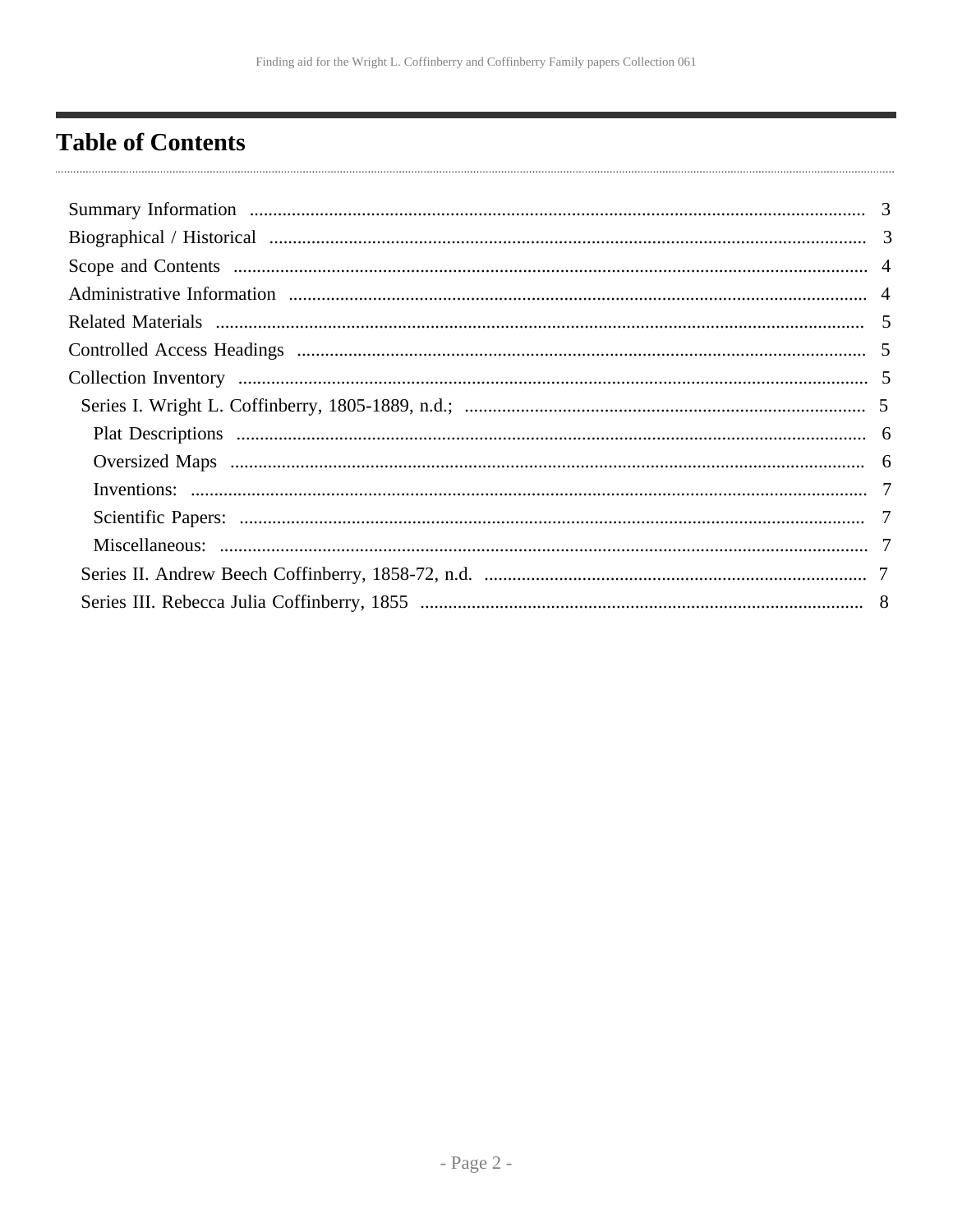# <span id="page-1-0"></span>**Table of Contents**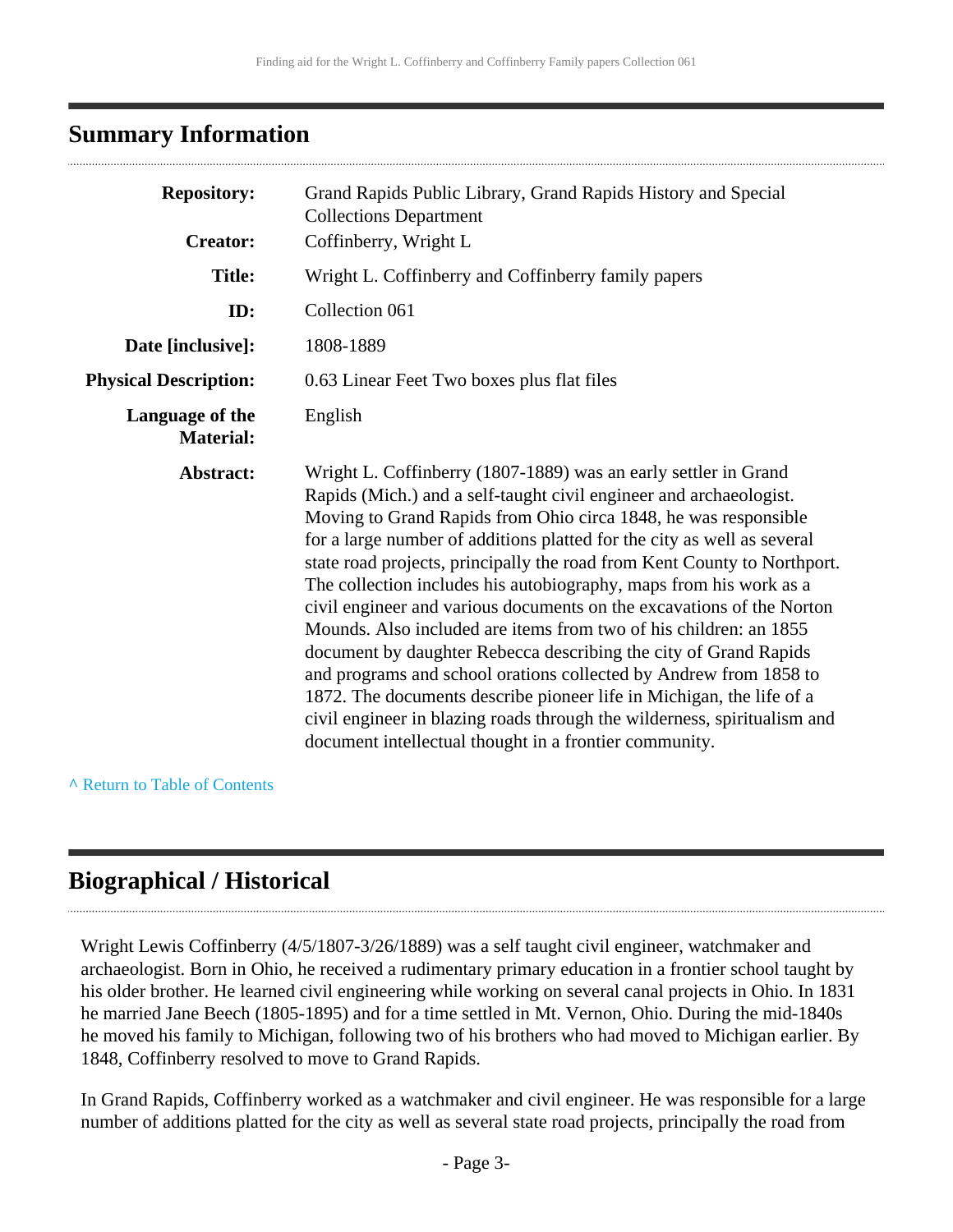## <span id="page-2-0"></span>**Summary Information**

| <b>Repository:</b>                  | Grand Rapids Public Library, Grand Rapids History and Special                                                                                                                                                                                                                                                                                                                                                                                                                                                                                                                                                                                                                                                                                                                                                                                                                                                                              |
|-------------------------------------|--------------------------------------------------------------------------------------------------------------------------------------------------------------------------------------------------------------------------------------------------------------------------------------------------------------------------------------------------------------------------------------------------------------------------------------------------------------------------------------------------------------------------------------------------------------------------------------------------------------------------------------------------------------------------------------------------------------------------------------------------------------------------------------------------------------------------------------------------------------------------------------------------------------------------------------------|
| <b>Creator:</b>                     | <b>Collections Department</b><br>Coffinberry, Wright L                                                                                                                                                                                                                                                                                                                                                                                                                                                                                                                                                                                                                                                                                                                                                                                                                                                                                     |
| <b>Title:</b>                       | Wright L. Coffinberry and Coffinberry family papers                                                                                                                                                                                                                                                                                                                                                                                                                                                                                                                                                                                                                                                                                                                                                                                                                                                                                        |
| ID:                                 | Collection 061                                                                                                                                                                                                                                                                                                                                                                                                                                                                                                                                                                                                                                                                                                                                                                                                                                                                                                                             |
| Date [inclusive]:                   | 1808-1889                                                                                                                                                                                                                                                                                                                                                                                                                                                                                                                                                                                                                                                                                                                                                                                                                                                                                                                                  |
| <b>Physical Description:</b>        | 0.63 Linear Feet Two boxes plus flat files                                                                                                                                                                                                                                                                                                                                                                                                                                                                                                                                                                                                                                                                                                                                                                                                                                                                                                 |
| Language of the<br><b>Material:</b> | English                                                                                                                                                                                                                                                                                                                                                                                                                                                                                                                                                                                                                                                                                                                                                                                                                                                                                                                                    |
| Abstract:                           | Wright L. Coffinberry (1807-1889) was an early settler in Grand<br>Rapids (Mich.) and a self-taught civil engineer and archaeologist.<br>Moving to Grand Rapids from Ohio circa 1848, he was responsible<br>for a large number of additions platted for the city as well as several<br>state road projects, principally the road from Kent County to Northport.<br>The collection includes his autobiography, maps from his work as a<br>civil engineer and various documents on the excavations of the Norton<br>Mounds. Also included are items from two of his children: an 1855<br>document by daughter Rebecca describing the city of Grand Rapids<br>and programs and school orations collected by Andrew from 1858 to<br>1872. The documents describe pioneer life in Michigan, the life of a<br>civil engineer in blazing roads through the wilderness, spiritualism and<br>document intellectual thought in a frontier community. |

**^** [Return to Table of Contents](#page-1-0)

## <span id="page-2-1"></span>**Biographical / Historical**

Wright Lewis Coffinberry (4/5/1807-3/26/1889) was a self taught civil engineer, watchmaker and archaeologist. Born in Ohio, he received a rudimentary primary education in a frontier school taught by his older brother. He learned civil engineering while working on several canal projects in Ohio. In 1831 he married Jane Beech (1805-1895) and for a time settled in Mt. Vernon, Ohio. During the mid-1840s he moved his family to Michigan, following two of his brothers who had moved to Michigan earlier. By 1848, Coffinberry resolved to move to Grand Rapids.

In Grand Rapids, Coffinberry worked as a watchmaker and civil engineer. He was responsible for a large number of additions platted for the city as well as several state road projects, principally the road from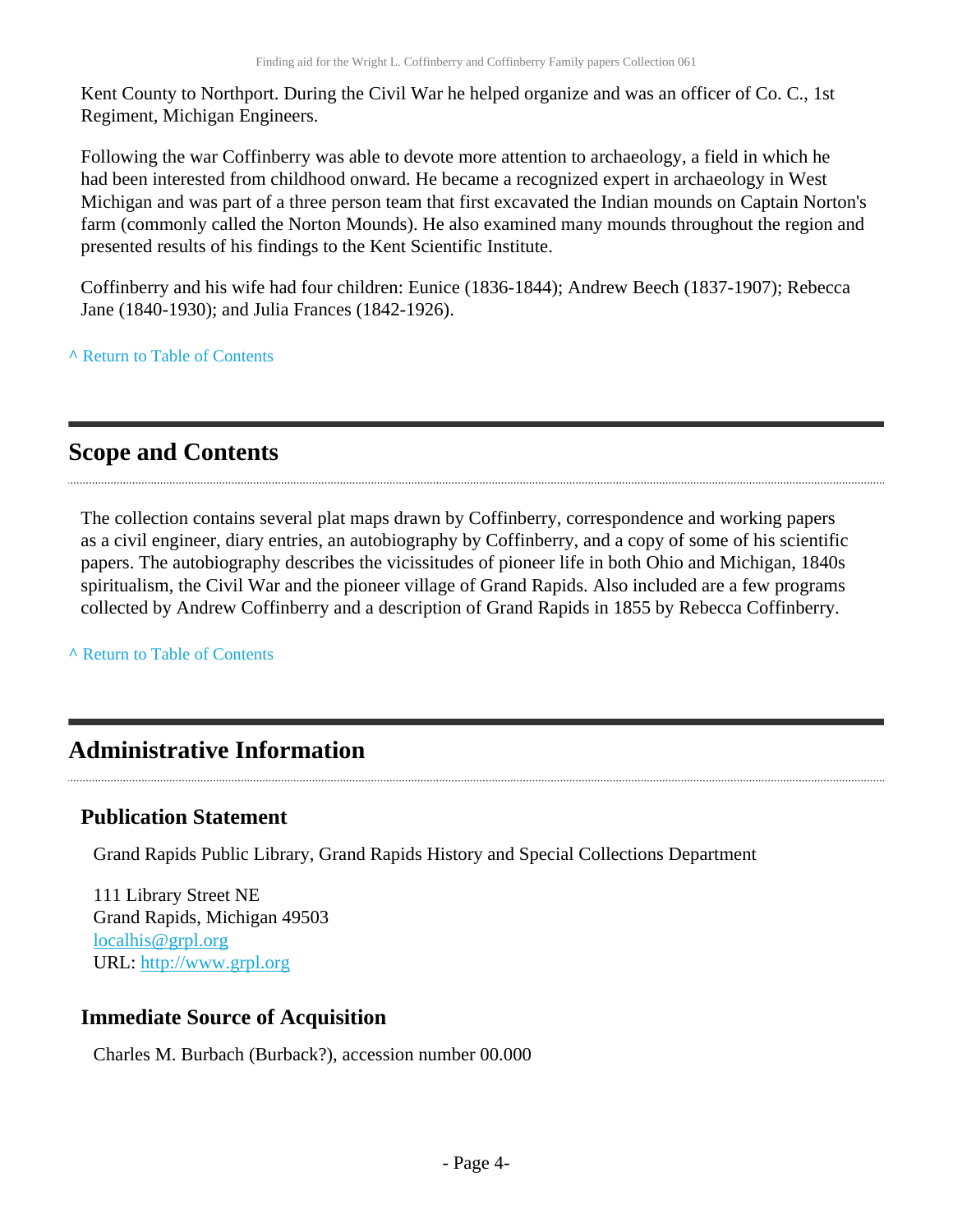Kent County to Northport. During the Civil War he helped organize and was an officer of Co. C., 1st Regiment, Michigan Engineers.

Following the war Coffinberry was able to devote more attention to archaeology, a field in which he had been interested from childhood onward. He became a recognized expert in archaeology in West Michigan and was part of a three person team that first excavated the Indian mounds on Captain Norton's farm (commonly called the Norton Mounds). He also examined many mounds throughout the region and presented results of his findings to the Kent Scientific Institute.

Coffinberry and his wife had four children: Eunice (1836-1844); Andrew Beech (1837-1907); Rebecca Jane (1840-1930); and Julia Frances (1842-1926).

**^** [Return to Table of Contents](#page-1-0)

## <span id="page-3-0"></span>**Scope and Contents**

The collection contains several plat maps drawn by Coffinberry, correspondence and working papers as a civil engineer, diary entries, an autobiography by Coffinberry, and a copy of some of his scientific papers. The autobiography describes the vicissitudes of pioneer life in both Ohio and Michigan, 1840s spiritualism, the Civil War and the pioneer village of Grand Rapids. Also included are a few programs collected by Andrew Coffinberry and a description of Grand Rapids in 1855 by Rebecca Coffinberry.

**^** [Return to Table of Contents](#page-1-0)

## <span id="page-3-1"></span>**Administrative Information**

#### **Publication Statement**

Grand Rapids Public Library, Grand Rapids History and Special Collections Department

111 Library Street NE Grand Rapids, Michigan 49503 [localhis@grpl.org](mailto:localhis@grpl.org) URL:<http://www.grpl.org>

#### **Immediate Source of Acquisition**

Charles M. Burbach (Burback?), accession number 00.000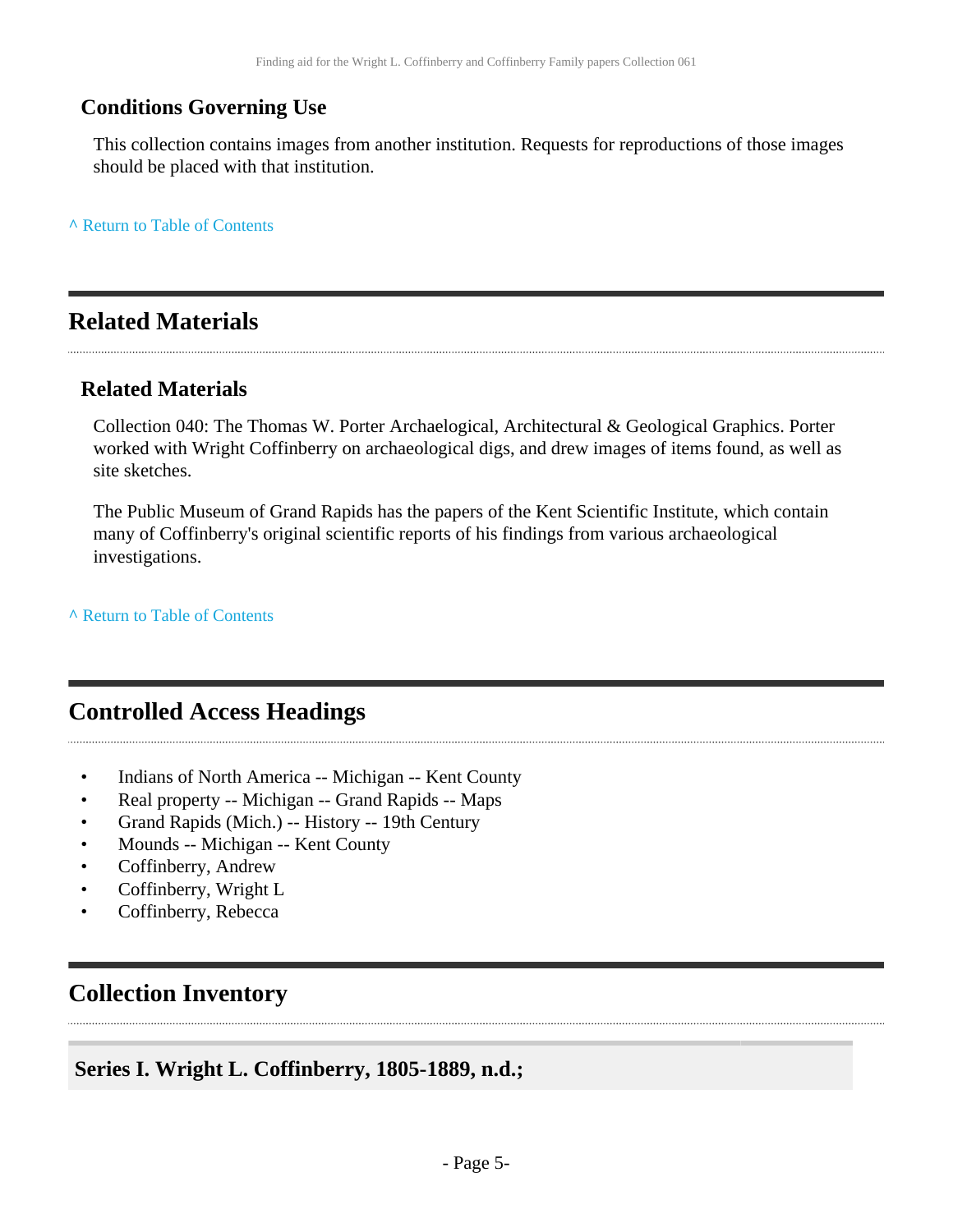### **Conditions Governing Use**

This collection contains images from another institution. Requests for reproductions of those images should be placed with that institution.

**^** [Return to Table of Contents](#page-1-0)

## <span id="page-4-0"></span>**Related Materials**

#### **Related Materials**

Collection 040: The Thomas W. Porter Archaelogical, Architectural & Geological Graphics. Porter worked with Wright Coffinberry on archaeological digs, and drew images of items found, as well as site sketches.

The Public Museum of Grand Rapids has the papers of the Kent Scientific Institute, which contain many of Coffinberry's original scientific reports of his findings from various archaeological investigations.

**^** [Return to Table of Contents](#page-1-0)

## <span id="page-4-1"></span>**Controlled Access Headings**

- Indians of North America -- Michigan -- Kent County
- Real property -- Michigan -- Grand Rapids -- Maps
- Grand Rapids (Mich.) -- History -- 19th Century
- Mounds -- Michigan -- Kent County
- Coffinberry, Andrew
- Coffinberry, Wright L
- Coffinberry, Rebecca

## <span id="page-4-2"></span>**Collection Inventory**

#### <span id="page-4-3"></span>**Series I. Wright L. Coffinberry, 1805-1889, n.d.;**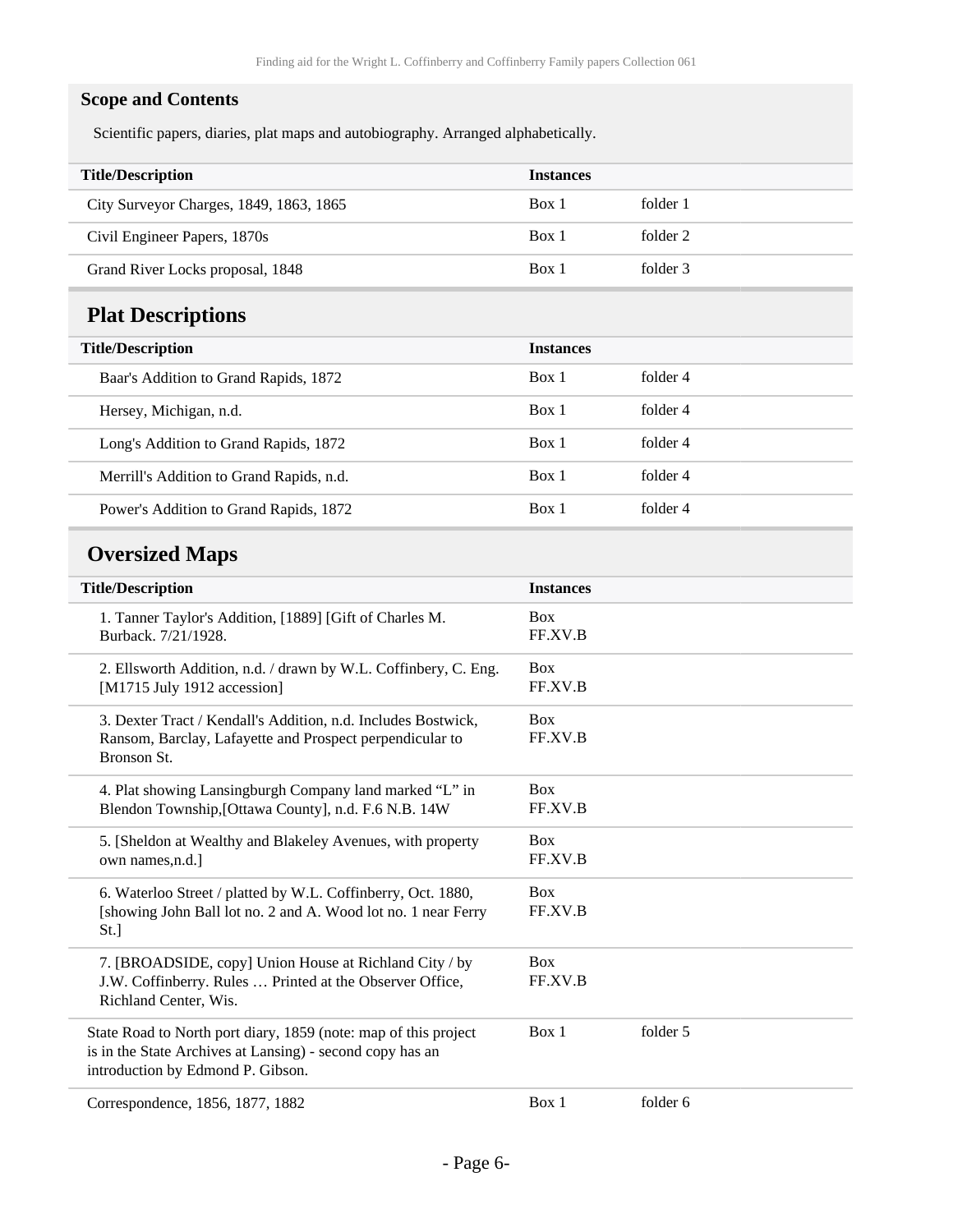#### **Scope and Contents**

Scientific papers, diaries, plat maps and autobiography. Arranged alphabetically.

<span id="page-5-1"></span><span id="page-5-0"></span>

| <b>Title/Description</b>                                                                                                                                          | <b>Instances</b>      |          |  |
|-------------------------------------------------------------------------------------------------------------------------------------------------------------------|-----------------------|----------|--|
| City Surveyor Charges, 1849, 1863, 1865                                                                                                                           | Box 1                 | folder 1 |  |
| Civil Engineer Papers, 1870s                                                                                                                                      | Box 1                 | folder 2 |  |
| Grand River Locks proposal, 1848                                                                                                                                  | Box 1                 | folder 3 |  |
| <b>Plat Descriptions</b>                                                                                                                                          |                       |          |  |
| <b>Title/Description</b>                                                                                                                                          | <b>Instances</b>      |          |  |
| Baar's Addition to Grand Rapids, 1872                                                                                                                             | Box 1                 | folder 4 |  |
| Hersey, Michigan, n.d.                                                                                                                                            | Box 1                 | folder 4 |  |
| Long's Addition to Grand Rapids, 1872                                                                                                                             | Box 1                 | folder 4 |  |
| Merrill's Addition to Grand Rapids, n.d.                                                                                                                          | Box 1                 | folder 4 |  |
| Power's Addition to Grand Rapids, 1872                                                                                                                            | Box 1                 | folder 4 |  |
| <b>Oversized Maps</b>                                                                                                                                             |                       |          |  |
| <b>Title/Description</b>                                                                                                                                          | <b>Instances</b>      |          |  |
| 1. Tanner Taylor's Addition, [1889] [Gift of Charles M.<br>Burback. 7/21/1928.                                                                                    | <b>Box</b><br>FF.XV.B |          |  |
| 2. Ellsworth Addition, n.d. / drawn by W.L. Coffinbery, C. Eng.<br>[M1715 July 1912 accession]                                                                    | <b>Box</b><br>FF.XV.B |          |  |
| 3. Dexter Tract / Kendall's Addition, n.d. Includes Bostwick,<br>Ransom, Barclay, Lafayette and Prospect perpendicular to<br>Bronson St.                          | <b>Box</b><br>FF.XV.B |          |  |
| 4. Plat showing Lansingburgh Company land marked "L" in<br>Blendon Township, [Ottawa County], n.d. F.6 N.B. 14W                                                   | <b>Box</b><br>FF.XV.B |          |  |
| 5. [Sheldon at Wealthy and Blakeley Avenues, with property<br>own names,n.d.]                                                                                     | <b>Box</b><br>FF.XV.B |          |  |
| 6. Waterloo Street / platted by W.L. Coffinberry, Oct. 1880,<br>[showing John Ball lot no. 2 and A. Wood lot no. 1 near Ferry<br>St.]                             | <b>Box</b><br>FF.XV.B |          |  |
| 7. [BROADSIDE, copy] Union House at Richland City / by<br>J.W. Coffinberry. Rules  Printed at the Observer Office,<br>Richland Center, Wis.                       | <b>Box</b><br>FF.XV.B |          |  |
| State Road to North port diary, 1859 (note: map of this project<br>is in the State Archives at Lansing) - second copy has an<br>introduction by Edmond P. Gibson. | Box 1                 | folder 5 |  |
| Correspondence, 1856, 1877, 1882                                                                                                                                  | Box 1                 | folder 6 |  |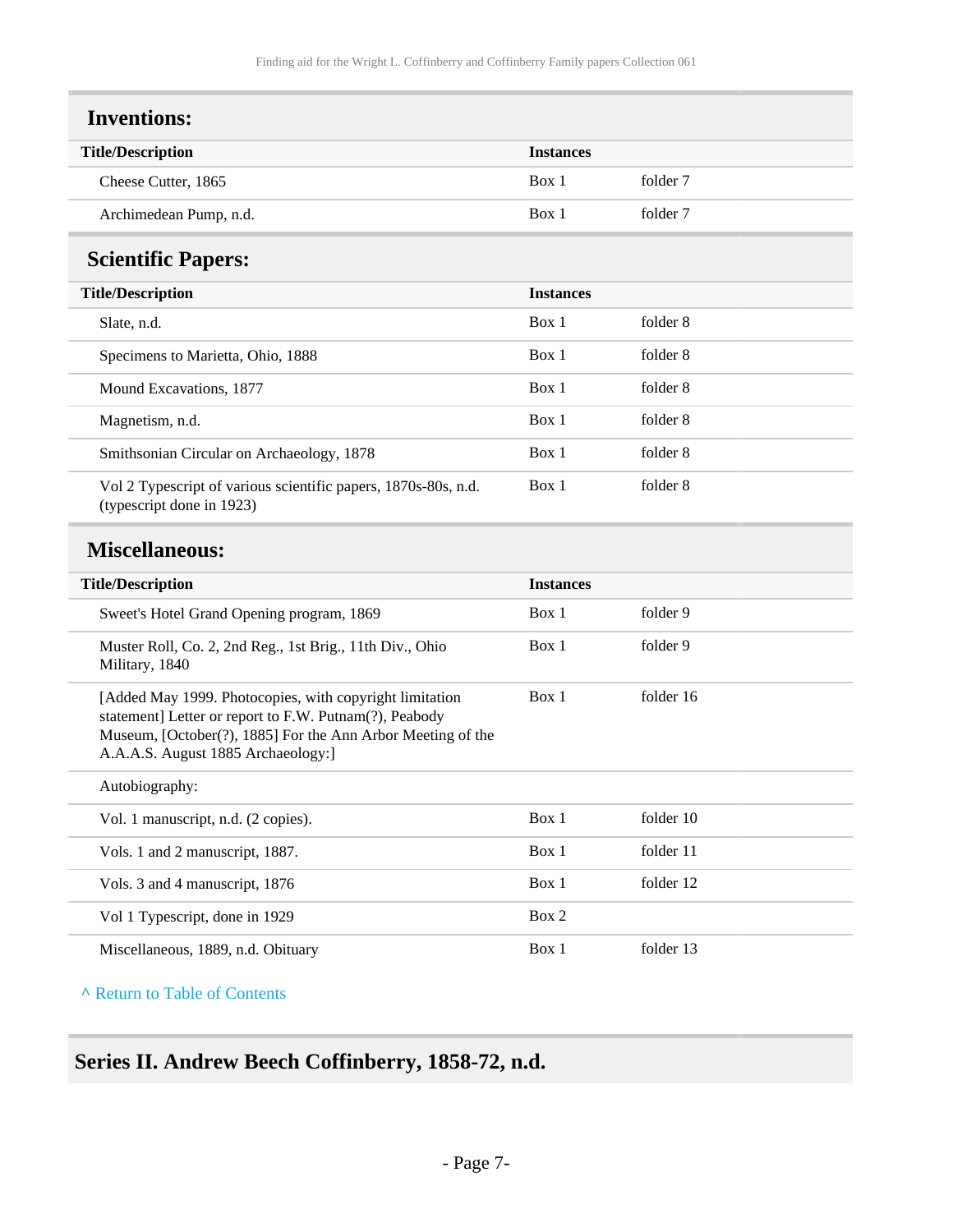<span id="page-6-1"></span><span id="page-6-0"></span>

| <b>Inventions:</b>                                                                          |                  |          |  |
|---------------------------------------------------------------------------------------------|------------------|----------|--|
| <b>Title/Description</b>                                                                    | <b>Instances</b> |          |  |
| Cheese Cutter, 1865                                                                         | Box 1            | folder 7 |  |
| Archimedean Pump, n.d.                                                                      | Box 1            | folder 7 |  |
| <b>Scientific Papers:</b>                                                                   |                  |          |  |
| <b>Title/Description</b>                                                                    | <b>Instances</b> |          |  |
| Slate, n.d.                                                                                 | Box 1            | folder 8 |  |
| Specimens to Marietta, Ohio, 1888                                                           | Box 1            | folder 8 |  |
| Mound Excavations, 1877                                                                     | Box 1            | folder 8 |  |
| Magnetism, n.d.                                                                             | Box 1            | folder 8 |  |
| Smithsonian Circular on Archaeology, 1878                                                   | Box 1            | folder 8 |  |
| Vol 2 Typescript of various scientific papers, 1870s-80s, n.d.<br>(typescript done in 1923) | Box 1            | folder 8 |  |

#### <span id="page-6-2"></span>**Miscellaneous:**

| <b>Title/Description</b>                                                                                                                                                                                              | <b>Instances</b> |           |
|-----------------------------------------------------------------------------------------------------------------------------------------------------------------------------------------------------------------------|------------------|-----------|
| Sweet's Hotel Grand Opening program, 1869                                                                                                                                                                             | Box 1            | folder 9  |
| Muster Roll, Co. 2, 2nd Reg., 1st Brig., 11th Div., Ohio<br>Military, 1840                                                                                                                                            | Box 1            | folder 9  |
| [Added May 1999. Photocopies, with copyright limitation<br>statement] Letter or report to F.W. Putnam(?), Peabody<br>Museum, [October(?), 1885] For the Ann Arbor Meeting of the<br>A.A.A.S. August 1885 Archaeology: | Box 1            | folder 16 |
| Autobiography:                                                                                                                                                                                                        |                  |           |
| Vol. 1 manuscript, n.d. (2 copies).                                                                                                                                                                                   | Box 1            | folder 10 |
| Vols. 1 and 2 manuscript, 1887.                                                                                                                                                                                       | Box 1            | folder 11 |
| Vols. 3 and 4 manuscript, 1876                                                                                                                                                                                        | Box 1            | folder 12 |
| Vol 1 Typescript, done in 1929                                                                                                                                                                                        | Box 2            |           |
| Miscellaneous, 1889, n.d. Obituary                                                                                                                                                                                    | Box 1            | folder 13 |

**^** [Return to Table of Contents](#page-1-0)

## <span id="page-6-3"></span>**Series II. Andrew Beech Coffinberry, 1858-72, n.d.**